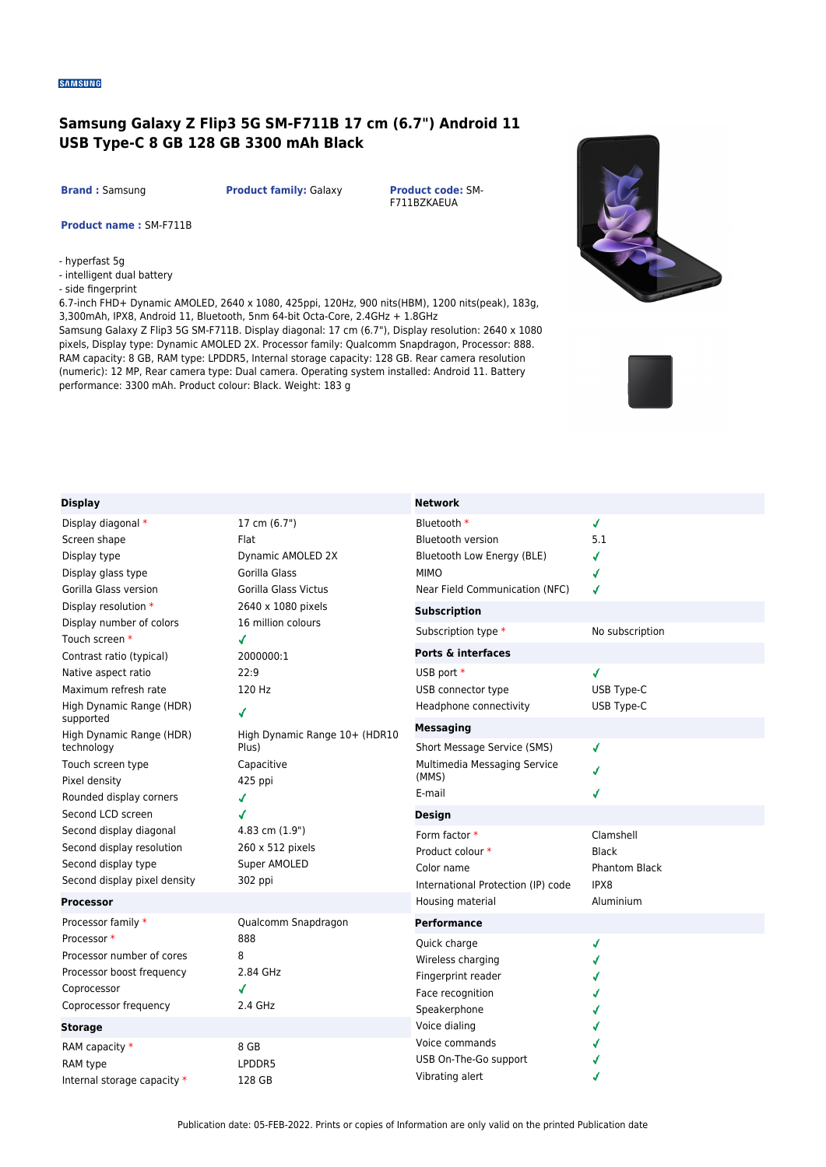## **Samsung Galaxy Z Flip3 5G SM-F711B 17 cm (6.7") Android 11 USB Type-C 8 GB 128 GB 3300 mAh Black**

**Brand :** Samsung **Product family:** Galaxy **Product code:** SM-

F711BZKAEUA

**Network**

**Product name :** SM-F711B

- hyperfast 5g

- intelligent dual battery
- side fingerprint

6.7-inch FHD+ Dynamic AMOLED, 2640 x 1080, 425ppi, 120Hz, 900 nits(HBM), 1200 nits(peak), 183g, 3,300mAh, IPX8, Android 11, Bluetooth, 5nm 64-bit Octa-Core, 2.4GHz + 1.8GHz

Samsung Galaxy Z Flip3 5G SM-F711B. Display diagonal: 17 cm (6.7"), Display resolution: 2640 x 1080 pixels, Display type: Dynamic AMOLED 2X. Processor family: Qualcomm Snapdragon, Processor: 888. RAM capacity: 8 GB, RAM type: LPDDR5, Internal storage capacity: 128 GB. Rear camera resolution (numeric): 12 MP, Rear camera type: Dual camera. Operating system installed: Android 11. Battery performance: 3300 mAh. Product colour: Black. Weight: 183 g





## **Display**

| Display                                                                                                                          |                                                                                                                                                                                | <b>NETWOLK</b>                                                                                                         |                                                           |
|----------------------------------------------------------------------------------------------------------------------------------|--------------------------------------------------------------------------------------------------------------------------------------------------------------------------------|------------------------------------------------------------------------------------------------------------------------|-----------------------------------------------------------|
| Display diagonal *<br>Screen shape<br>Display type<br>Display glass type<br>Gorilla Glass version                                | 17 cm (6.7")<br>Flat<br>Dynamic AMOLED 2X<br>Gorilla Glass<br>Gorilla Glass Victus                                                                                             | Bluetooth *<br><b>Bluetooth version</b><br>Bluetooth Low Energy (BLE)<br><b>MIMO</b><br>Near Field Communication (NFC) | √<br>5.1<br>√<br>√<br>√                                   |
| Display resolution *<br>Display number of colors<br>Touch screen *                                                               | 2640 x 1080 pixels<br>16 million colours<br>✔                                                                                                                                  | <b>Subscription</b><br>Subscription type *                                                                             | No subscription                                           |
| Contrast ratio (typical)<br>Native aspect ratio<br>Maximum refresh rate<br>High Dynamic Range (HDR)                              | 2000000:1<br>22:9<br>120 Hz<br>√<br>High Dynamic Range 10+ (HDR10<br>Plus)<br>Capacitive<br>425 ppi<br>√<br>√<br>4.83 cm (1.9")<br>260 x 512 pixels<br>Super AMOLED<br>302 ppi | <b>Ports &amp; interfaces</b><br>USB port *<br>USB connector type<br>Headphone connectivity                            | √<br>USB Type-C<br>USB Type-C                             |
| supported<br>High Dynamic Range (HDR)<br>technology<br>Touch screen type<br>Pixel density<br>Rounded display corners             |                                                                                                                                                                                | <b>Messaging</b><br>Short Message Service (SMS)<br>Multimedia Messaging Service<br>(MMS)<br>E-mail                     | ✔<br>√<br>√                                               |
| Second LCD screen<br>Second display diagonal<br>Second display resolution<br>Second display type<br>Second display pixel density |                                                                                                                                                                                | <b>Design</b><br>Form factor *<br>Product colour *<br>Color name<br>International Protection (IP) code                 | Clamshell<br><b>Black</b><br><b>Phantom Black</b><br>IPX8 |
| <b>Processor</b><br>Processor family *                                                                                           | Qualcomm Snapdragon                                                                                                                                                            | Housing material<br><b>Performance</b>                                                                                 | Aluminium                                                 |
| Processor *<br>Processor number of cores<br>Processor boost frequency<br>Coprocessor<br>Coprocessor frequency                    | 888<br>8<br>2.84 GHz<br>√<br>2.4 GHz                                                                                                                                           | Quick charge<br>Wireless charging<br>Fingerprint reader<br>Face recognition<br>Speakerphone                            | √                                                         |
| <b>Storage</b><br>RAM capacity *<br>RAM type<br>Internal storage capacity *                                                      | 8 GB<br>LPDDR5<br>128 GB                                                                                                                                                       | Voice dialing<br>Voice commands<br>USB On-The-Go support<br>Vibrating alert                                            | √                                                         |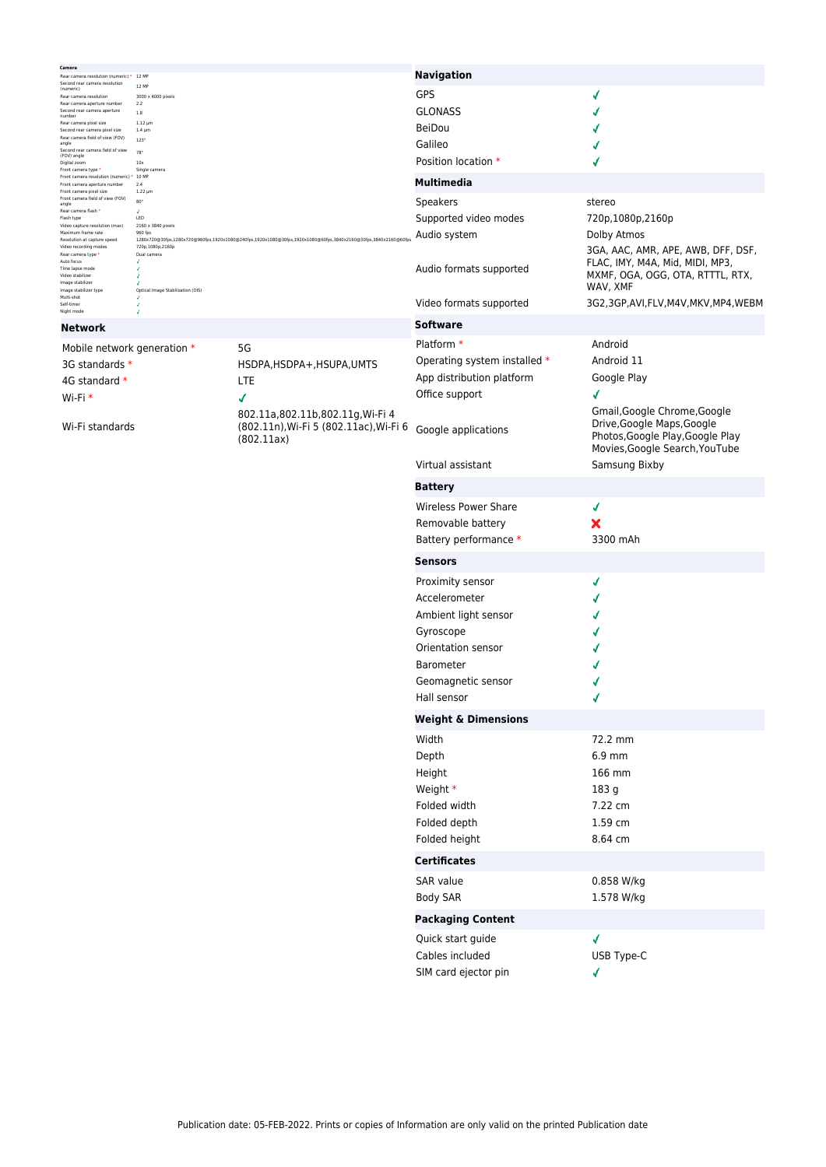| Camera<br>Rear camera resolution (numeric) * 12 MP                                                                                          |                                                  |                                                                                                                | <b>Navigation</b>              |                                                                                                                                  |  |  |
|---------------------------------------------------------------------------------------------------------------------------------------------|--------------------------------------------------|----------------------------------------------------------------------------------------------------------------|--------------------------------|----------------------------------------------------------------------------------------------------------------------------------|--|--|
| Second rear camera resolution<br>(numeric)                                                                                                  | 12 MP<br>3000 x 4000 pixels<br>2.2               |                                                                                                                | GPS                            | √                                                                                                                                |  |  |
| Rear camera resolution<br>Rear camera aperture number<br>Second rear camera aperture                                                        |                                                  |                                                                                                                | <b>GLONASS</b>                 |                                                                                                                                  |  |  |
| number<br>Rear camera pixel size                                                                                                            | 1.8<br>$1.12 \mu m$                              |                                                                                                                | <b>BeiDou</b>                  |                                                                                                                                  |  |  |
| Second rear camera pixel size<br>Rear camera field of view (FOV)<br>angle                                                                   | $1.4 \mu m$<br>$123^{\circ}$                     |                                                                                                                | Galileo                        |                                                                                                                                  |  |  |
| Second rear camera field of view<br>(FOV) angle                                                                                             | 78                                               |                                                                                                                | Position location *            |                                                                                                                                  |  |  |
| Digital zoom<br>Front camera type *<br>Front camera resolution (numeric) * 10 MP                                                            | 10x<br>Single camera                             |                                                                                                                |                                |                                                                                                                                  |  |  |
| Front camera aperture number<br>2.4<br>Front camera pixel size<br>$1.22 \mu m$                                                              |                                                  |                                                                                                                | <b>Multimedia</b>              |                                                                                                                                  |  |  |
| Front camera field of view (FOV)<br>angle<br>Rear camera flash *                                                                            | $80^\circ$<br>$\mathcal{L}$                      |                                                                                                                | <b>Speakers</b>                | stereo                                                                                                                           |  |  |
| Flash type<br>Video capture resolution (max)                                                                                                | LED<br>2160 x 3840 pixels                        |                                                                                                                | Supported video modes          | 720p,1080p,2160p                                                                                                                 |  |  |
| Maximum frame rate<br>Resolution at capture speed                                                                                           | 960 fps<br>720p,1080p,2160p                      | 1280x720@30fps,1280x720@960fps,1920x1080@240fps,1920x1080@30fps,1920x1080@60fps,3840x2160@30fps,3840x2160@60fp | Audio system                   | Dolby Atmos                                                                                                                      |  |  |
| Video recording modes<br>Rear camera type<br>Auto focus<br>Time lapse mode<br>Video stabilizer<br>Image stabilizer<br>Image stabilizer type | Dual camera<br>Optical Image Stabilization (OIS) |                                                                                                                | Audio formats supported        | 3GA, AAC, AMR, APE, AWB, DFF, DSF,<br>FLAC, IMY, M4A, Mid, MIDI, MP3,<br>MXMF, OGA, OGG, OTA, RTTTL, RTX,<br>WAV, XMF            |  |  |
| Multi-shot<br>Self-timer<br>Night mode                                                                                                      |                                                  |                                                                                                                | Video formats supported        | 3G2,3GP,AVI,FLV,M4V,MKV,MP4,WEBM                                                                                                 |  |  |
| Network                                                                                                                                     |                                                  |                                                                                                                | <b>Software</b>                |                                                                                                                                  |  |  |
| Mobile network generation *                                                                                                                 |                                                  | 5G                                                                                                             | Platform *                     | Android                                                                                                                          |  |  |
| 3G standards *                                                                                                                              |                                                  | HSDPA, HSDPA+, HSUPA, UMTS                                                                                     | Operating system installed *   | Android 11                                                                                                                       |  |  |
| 4G standard *                                                                                                                               |                                                  | LTE                                                                                                            | App distribution platform      | Google Play                                                                                                                      |  |  |
| Wi-Fi *                                                                                                                                     |                                                  | √                                                                                                              | Office support                 | ✔                                                                                                                                |  |  |
| Wi-Fi standards                                                                                                                             |                                                  | 802.11a,802.11b,802.11g, Wi-Fi 4<br>(802.11n), Wi-Fi 5 (802.11ac), Wi-Fi 6<br>(802.11ax)                       | Google applications            | Gmail, Google Chrome, Google<br>Drive, Google Maps, Google<br>Photos, Google Play, Google Play<br>Movies, Google Search, YouTube |  |  |
|                                                                                                                                             |                                                  |                                                                                                                | Virtual assistant              | Samsung Bixby                                                                                                                    |  |  |
|                                                                                                                                             |                                                  |                                                                                                                | <b>Battery</b>                 |                                                                                                                                  |  |  |
|                                                                                                                                             |                                                  |                                                                                                                | <b>Wireless Power Share</b>    | √                                                                                                                                |  |  |
|                                                                                                                                             |                                                  |                                                                                                                | Removable battery              | ×                                                                                                                                |  |  |
|                                                                                                                                             |                                                  |                                                                                                                | Battery performance *          | 3300 mAh                                                                                                                         |  |  |
|                                                                                                                                             |                                                  |                                                                                                                | <b>Sensors</b>                 |                                                                                                                                  |  |  |
|                                                                                                                                             |                                                  |                                                                                                                | Proximity sensor               | √                                                                                                                                |  |  |
|                                                                                                                                             |                                                  |                                                                                                                | Accelerometer                  |                                                                                                                                  |  |  |
|                                                                                                                                             |                                                  |                                                                                                                | Ambient light sensor           |                                                                                                                                  |  |  |
|                                                                                                                                             |                                                  |                                                                                                                | Gyroscope                      |                                                                                                                                  |  |  |
|                                                                                                                                             |                                                  |                                                                                                                | Orientation sensor             |                                                                                                                                  |  |  |
|                                                                                                                                             |                                                  |                                                                                                                | <b>Barometer</b>               |                                                                                                                                  |  |  |
|                                                                                                                                             |                                                  |                                                                                                                | Geomagnetic sensor             |                                                                                                                                  |  |  |
|                                                                                                                                             |                                                  |                                                                                                                | Hall sensor                    | √                                                                                                                                |  |  |
|                                                                                                                                             |                                                  |                                                                                                                | <b>Weight &amp; Dimensions</b> |                                                                                                                                  |  |  |
|                                                                                                                                             |                                                  |                                                                                                                | Width                          | 72.2 mm                                                                                                                          |  |  |
|                                                                                                                                             |                                                  |                                                                                                                | Depth                          | 6.9 mm                                                                                                                           |  |  |
|                                                                                                                                             |                                                  |                                                                                                                | Height                         | 166 mm                                                                                                                           |  |  |
|                                                                                                                                             |                                                  |                                                                                                                | Weight *                       | 183 g                                                                                                                            |  |  |
|                                                                                                                                             |                                                  |                                                                                                                | Folded width                   | 7.22 cm                                                                                                                          |  |  |
|                                                                                                                                             |                                                  |                                                                                                                | Folded depth                   | 1.59 cm                                                                                                                          |  |  |
|                                                                                                                                             |                                                  |                                                                                                                | Folded height                  | 8.64 cm                                                                                                                          |  |  |
|                                                                                                                                             |                                                  |                                                                                                                | <b>Certificates</b>            |                                                                                                                                  |  |  |
|                                                                                                                                             |                                                  |                                                                                                                |                                |                                                                                                                                  |  |  |
|                                                                                                                                             |                                                  | SAR value                                                                                                      | 0.858 W/kg                     |                                                                                                                                  |  |  |
|                                                                                                                                             |                                                  |                                                                                                                | <b>Body SAR</b>                | 1.578 W/kg                                                                                                                       |  |  |
|                                                                                                                                             |                                                  |                                                                                                                | <b>Packaging Content</b>       |                                                                                                                                  |  |  |
|                                                                                                                                             |                                                  |                                                                                                                | Quick start guide              | ✔                                                                                                                                |  |  |
|                                                                                                                                             |                                                  |                                                                                                                | Cables included                | USB Type-C                                                                                                                       |  |  |
|                                                                                                                                             |                                                  |                                                                                                                | SIM card ejector pin           | √                                                                                                                                |  |  |